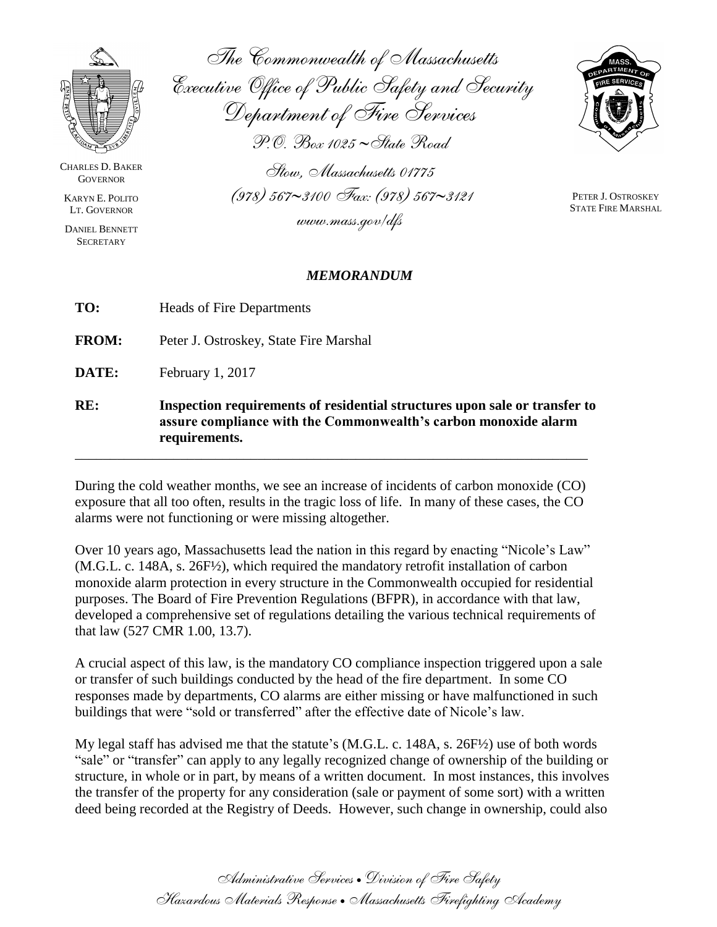

CHARLES D. BAKER **GOVERNOR** 

KARYN E. POLITO LT. GOVERNOR

DANIEL BENNETT **SECRETARY** 

*The Commonwealth of Massachusetts Executive Office of Public Safety and Security Department of Fire Services P.O. Box 1025 State Road*

*Stow, Massachusetts 01775*

*(978) 5673100 Fax: (978) 5673121*

*www.mass.gov/dfs*



PETER J. OSTROSKEY STATE FIRE MARSHAL

## *MEMORANDUM*

**FROM:** Peter J. Ostroskey, State Fire Marshal

**DATE:** February 1, 2017

**RE: Inspection requirements of residential structures upon sale or transfer to assure compliance with the Commonwealth's carbon monoxide alarm requirements.** 

During the cold weather months, we see an increase of incidents of carbon monoxide (CO) exposure that all too often, results in the tragic loss of life. In many of these cases, the CO alarms were not functioning or were missing altogether.

\_\_\_\_\_\_\_\_\_\_\_\_\_\_\_\_\_\_\_\_\_\_\_\_\_\_\_\_\_\_\_\_\_\_\_\_\_\_\_\_\_\_\_\_\_\_\_\_\_\_\_\_\_\_\_\_\_\_\_\_\_\_\_\_\_\_\_\_\_\_\_\_\_

Over 10 years ago, Massachusetts lead the nation in this regard by enacting "Nicole's Law" (M.G.L. c. 148A, s. 26F½), which required the mandatory retrofit installation of carbon monoxide alarm protection in every structure in the Commonwealth occupied for residential purposes. The Board of Fire Prevention Regulations (BFPR), in accordance with that law, developed a comprehensive set of regulations detailing the various technical requirements of that law (527 CMR 1.00, 13.7).

A crucial aspect of this law, is the mandatory CO compliance inspection triggered upon a sale or transfer of such buildings conducted by the head of the fire department. In some CO responses made by departments, CO alarms are either missing or have malfunctioned in such buildings that were "sold or transferred" after the effective date of Nicole's law.

My legal staff has advised me that the statute's (M.G.L. c. 148A, s. 26F½) use of both words "sale" or "transfer" can apply to any legally recognized change of ownership of the building or structure, in whole or in part, by means of a written document. In most instances, this involves the transfer of the property for any consideration (sale or payment of some sort) with a written deed being recorded at the Registry of Deeds. However, such change in ownership, could also

> *Administrative Services Division of Fire Safety Hazardous Materials Response Massachusetts Firefighting Academy*